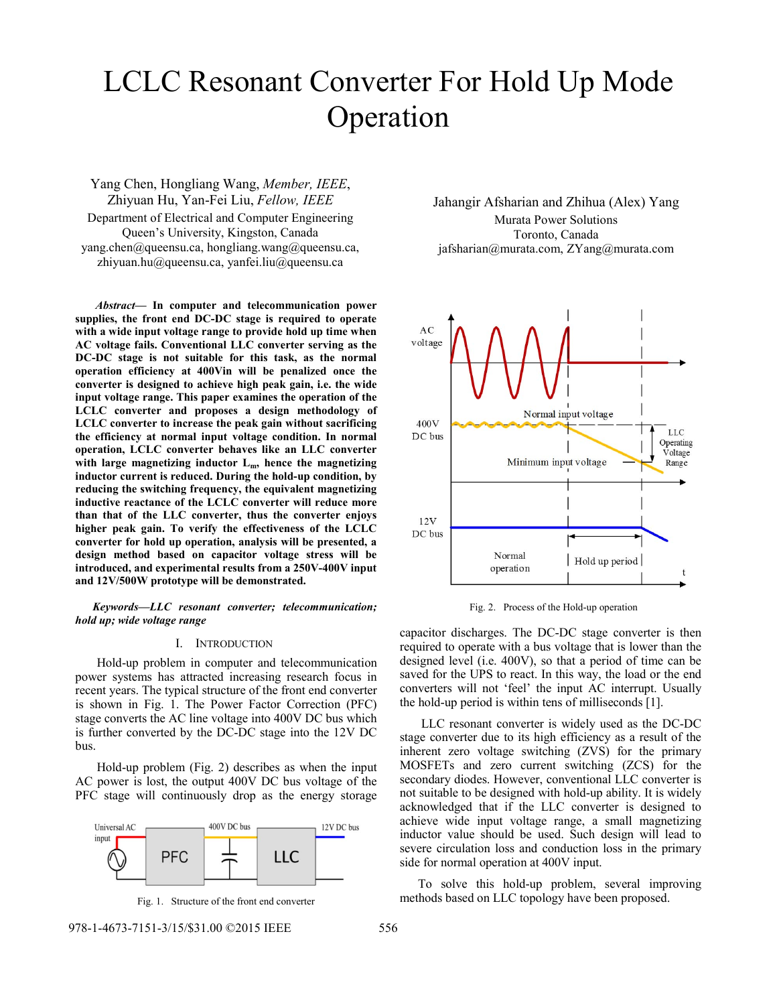# LCLC Resonant Converter For Hold Up Mode Operation

Yang Chen, Hongliang Wang, *Member, IEEE*, Zhiyuan Hu, Yan-Fei Liu, *Fellow, IEEE* Department of Electrical and Computer Engineering Queen's University, Kingston, Canada yang.chen@queensu.ca, hongliang.wang@queensu.ca, zhiyuan.hu@queensu.ca, yanfei.liu@queensu.ca

 *Abstract***— In computer and telecommunication power supplies, the front end DC-DC stage is required to operate with a wide input voltage range to provide hold up time when AC voltage fails. Conventional LLC converter serving as the DC-DC stage is not suitable for this task, as the normal operation efficiency at 400Vin will be penalized once the converter is designed to achieve high peak gain, i.e. the wide input voltage range. This paper examines the operation of the LCLC converter and proposes a design methodology of LCLC converter to increase the peak gain without sacrificing the efficiency at normal input voltage condition. In normal operation, LCLC converter behaves like an LLC converter with large magnetizing inductor Lm, hence the magnetizing inductor current is reduced. During the hold-up condition, by reducing the switching frequency, the equivalent magnetizing inductive reactance of the LCLC converter will reduce more than that of the LLC converter, thus the converter enjoys higher peak gain. To verify the effectiveness of the LCLC converter for hold up operation, analysis will be presented, a design method based on capacitor voltage stress will be introduced, and experimental results from a 250V-400V input and 12V/500W prototype will be demonstrated.** 

*Keywords—LLC resonant converter; telecommunication; hold up; wide voltage range* 

#### I. INTRODUCTION

 Hold-up problem in computer and telecommunication power systems has attracted increasing research focus in recent years. The typical structure of the front end converter is shown in Fig. 1. The Power Factor Correction (PFC) stage converts the AC line voltage into 400V DC bus which is further converted by the DC-DC stage into the 12V DC bus.

 Hold-up problem (Fig. 2) describes as when the input AC power is lost, the output 400V DC bus voltage of the PFC stage will continuously drop as the energy storage





Jahangir Afsharian and Zhihua (Alex) Yang Murata Power Solutions Toronto, Canada jafsharian@murata.com, ZYang@murata.com



Fig. 2. Process of the Hold-up operation

capacitor discharges. The DC-DC stage converter is then required to operate with a bus voltage that is lower than the designed level (i.e. 400V), so that a period of time can be saved for the UPS to react. In this way, the load or the end converters will not 'feel' the input AC interrupt. Usually the hold-up period is within tens of milliseconds [1].

 LLC resonant converter is widely used as the DC-DC stage converter due to its high efficiency as a result of the inherent zero voltage switching (ZVS) for the primary MOSFETs and zero current switching (ZCS) for the secondary diodes. However, conventional LLC converter is not suitable to be designed with hold-up ability. It is widely acknowledged that if the LLC converter is designed to achieve wide input voltage range, a small magnetizing inductor value should be used. Such design will lead to severe circulation loss and conduction loss in the primary side for normal operation at 400V input.

To solve this hold-up problem, several improving Fig. 1. Structure of the front end converter methods based on LLC topology have been proposed.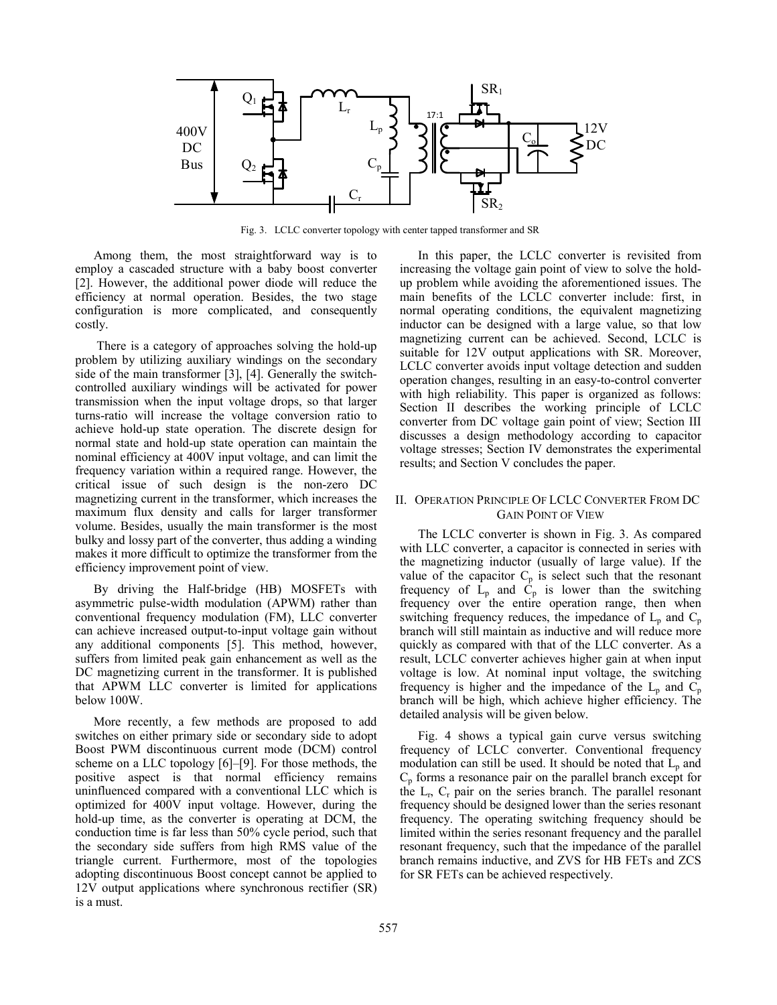

Fig. 3. LCLC converter topology with center tapped transformer and SR

Among them, the most straightforward way is to employ a cascaded structure with a baby boost converter [2]. However, the additional power diode will reduce the efficiency at normal operation. Besides, the two stage configuration is more complicated, and consequently costly.

 There is a category of approaches solving the hold-up problem by utilizing auxiliary windings on the secondary side of the main transformer [3], [4]. Generally the switchcontrolled auxiliary windings will be activated for power transmission when the input voltage drops, so that larger turns-ratio will increase the voltage conversion ratio to achieve hold-up state operation. The discrete design for normal state and hold-up state operation can maintain the nominal efficiency at 400V input voltage, and can limit the frequency variation within a required range. However, the critical issue of such design is the non-zero DC magnetizing current in the transformer, which increases the maximum flux density and calls for larger transformer volume. Besides, usually the main transformer is the most bulky and lossy part of the converter, thus adding a winding makes it more difficult to optimize the transformer from the efficiency improvement point of view.

By driving the Half-bridge (HB) MOSFETs with asymmetric pulse-width modulation (APWM) rather than conventional frequency modulation (FM), LLC converter can achieve increased output-to-input voltage gain without any additional components [5]. This method, however, suffers from limited peak gain enhancement as well as the DC magnetizing current in the transformer. It is published that APWM LLC converter is limited for applications below 100W.

More recently, a few methods are proposed to add switches on either primary side or secondary side to adopt Boost PWM discontinuous current mode (DCM) control scheme on a LLC topology [6]–[9]. For those methods, the positive aspect is that normal efficiency remains uninfluenced compared with a conventional LLC which is optimized for 400V input voltage. However, during the hold-up time, as the converter is operating at DCM, the conduction time is far less than 50% cycle period, such that the secondary side suffers from high RMS value of the triangle current. Furthermore, most of the topologies adopting discontinuous Boost concept cannot be applied to 12V output applications where synchronous rectifier (SR) is a must.

In this paper, the LCLC converter is revisited from increasing the voltage gain point of view to solve the holdup problem while avoiding the aforementioned issues. The main benefits of the LCLC converter include: first, in normal operating conditions, the equivalent magnetizing inductor can be designed with a large value, so that low magnetizing current can be achieved. Second, LCLC is suitable for 12V output applications with SR. Moreover, LCLC converter avoids input voltage detection and sudden operation changes, resulting in an easy-to-control converter with high reliability. This paper is organized as follows: Section II describes the working principle of LCLC converter from DC voltage gain point of view; Section III discusses a design methodology according to capacitor voltage stresses; Section IV demonstrates the experimental results; and Section V concludes the paper.

# II. OPERATION PRINCIPLE OF LCLC CONVERTER FROM DC GAIN POINT OF VIEW

The LCLC converter is shown in Fig. 3. As compared with LLC converter, a capacitor is connected in series with the magnetizing inductor (usually of large value). If the value of the capacitor  $C_p$  is select such that the resonant frequency of  $L_p$  and  $\dot{C}_p$  is lower than the switching frequency over the entire operation range, then when switching frequency reduces, the impedance of  $L_p$  and  $C_p$ branch will still maintain as inductive and will reduce more quickly as compared with that of the LLC converter. As a result, LCLC converter achieves higher gain at when input voltage is low. At nominal input voltage, the switching frequency is higher and the impedance of the  $L_p$  and  $C_p$ branch will be high, which achieve higher efficiency. The detailed analysis will be given below.

Fig. 4 shows a typical gain curve versus switching frequency of LCLC converter. Conventional frequency modulation can still be used. It should be noted that  $L_p$  and  $C_p$  forms a resonance pair on the parallel branch except for the  $L_r$ ,  $C_r$  pair on the series branch. The parallel resonant frequency should be designed lower than the series resonant frequency. The operating switching frequency should be limited within the series resonant frequency and the parallel resonant frequency, such that the impedance of the parallel branch remains inductive, and ZVS for HB FETs and ZCS for SR FETs can be achieved respectively.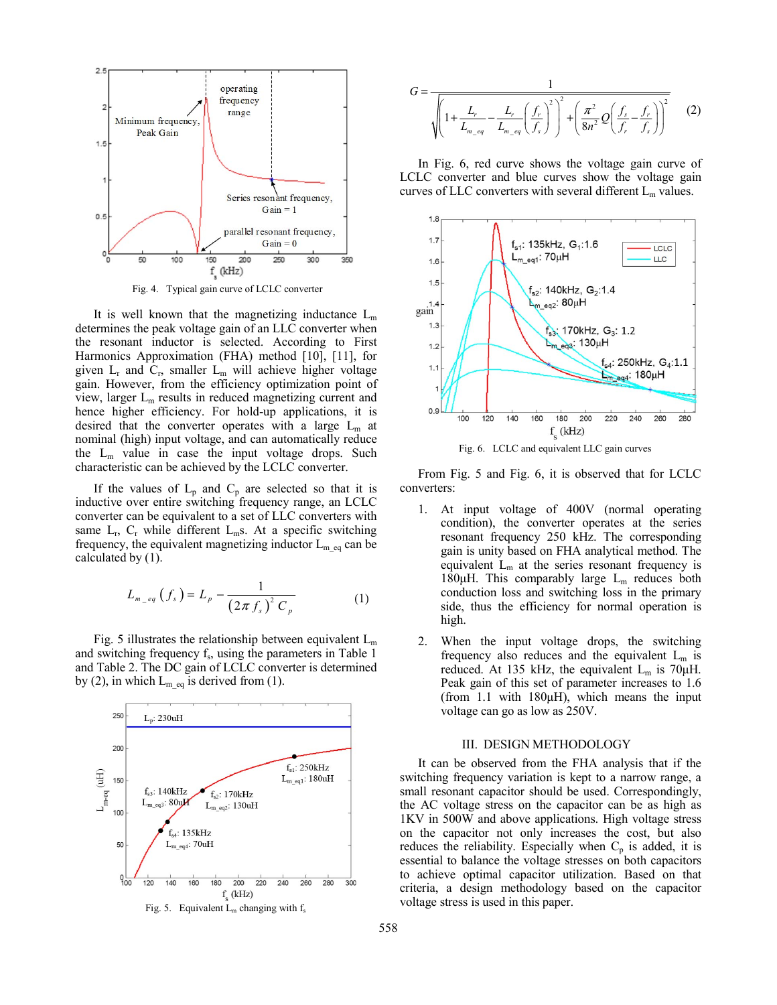

Fig. 4. Typical gain curve of LCLC converter

It is well known that the magnetizing inductance  $L_m$ determines the peak voltage gain of an LLC converter when the resonant inductor is selected. According to First Harmonics Approximation (FHA) method [10], [11], for given  $L_r$  and  $C_r$ , smaller  $L_m$  will achieve higher voltage gain. However, from the efficiency optimization point of view, larger  $L_m$  results in reduced magnetizing current and hence higher efficiency. For hold-up applications, it is desired that the converter operates with a large  $L_m$  at nominal (high) input voltage, and can automatically reduce the  $L_m$  value in case the input voltage drops. Such characteristic can be achieved by the LCLC converter.

If the values of  $L_p$  and  $C_p$  are selected so that it is inductive over entire switching frequency range, an LCLC converter can be equivalent to a set of LLC converters with same  $L_r$ ,  $C_r$  while different  $L_m$ s. At a specific switching frequency, the equivalent magnetizing inductor  $L_{m_{eq}}$  can be calculated by (1).

$$
L_{m_{-}eq}(f_{s}) = L_{p} - \frac{1}{(2\pi f_{s})^{2} C_{p}}
$$
 (1)

Fig. 5 illustrates the relationship between equivalent  $L_m$ and switching frequency  $f_s$ , using the parameters in Table 1 and Table 2. The DC gain of LCLC converter is determined by (2), in which  $L_{m_{eq}}$  is derived from (1).



$$
G = \frac{1}{\sqrt{\left(1 + \frac{L_r}{L_{m_{eq}}} - \frac{L_r}{L_{m_{eq}}}\left(\frac{f_r}{f_s}\right)^2\right)^2 + \left(\frac{\pi^2}{8n^2}Q\left(\frac{f_s}{f_r} - \frac{f_r}{f_s}\right)\right)^2}}
$$
(2)

In Fig. 6, red curve shows the voltage gain curve of LCLC converter and blue curves show the voltage gain curves of LLC converters with several different  $L_m$  values.



Fig. 6. LCLC and equivalent LLC gain curves

From Fig. 5 and Fig. 6, it is observed that for LCLC converters:

- 1. At input voltage of 400V (normal operating condition), the converter operates at the series resonant frequency 250 kHz. The corresponding gain is unity based on FHA analytical method. The equivalent  $L_m$  at the series resonant frequency is 180 $\mu$ H. This comparably large  $L_m$  reduces both conduction loss and switching loss in the primary side, thus the efficiency for normal operation is high.
- 2. When the input voltage drops, the switching frequency also reduces and the equivalent  $L_m$  is reduced. At 135 kHz, the equivalent  $L_m$  is 70 $\mu$ H. Peak gain of this set of parameter increases to 1.6 (from 1.1 with 180 $µ$ H), which means the input voltage can go as low as 250V.

#### III. DESIGN METHODOLOGY

It can be observed from the FHA analysis that if the switching frequency variation is kept to a narrow range, a small resonant capacitor should be used. Correspondingly, the AC voltage stress on the capacitor can be as high as 1KV in 500W and above applications. High voltage stress on the capacitor not only increases the cost, but also reduces the reliability. Especially when  $C_p$  is added, it is essential to balance the voltage stresses on both capacitors to achieve optimal capacitor utilization. Based on that criteria, a design methodology based on the capacitor voltage stress is used in this paper.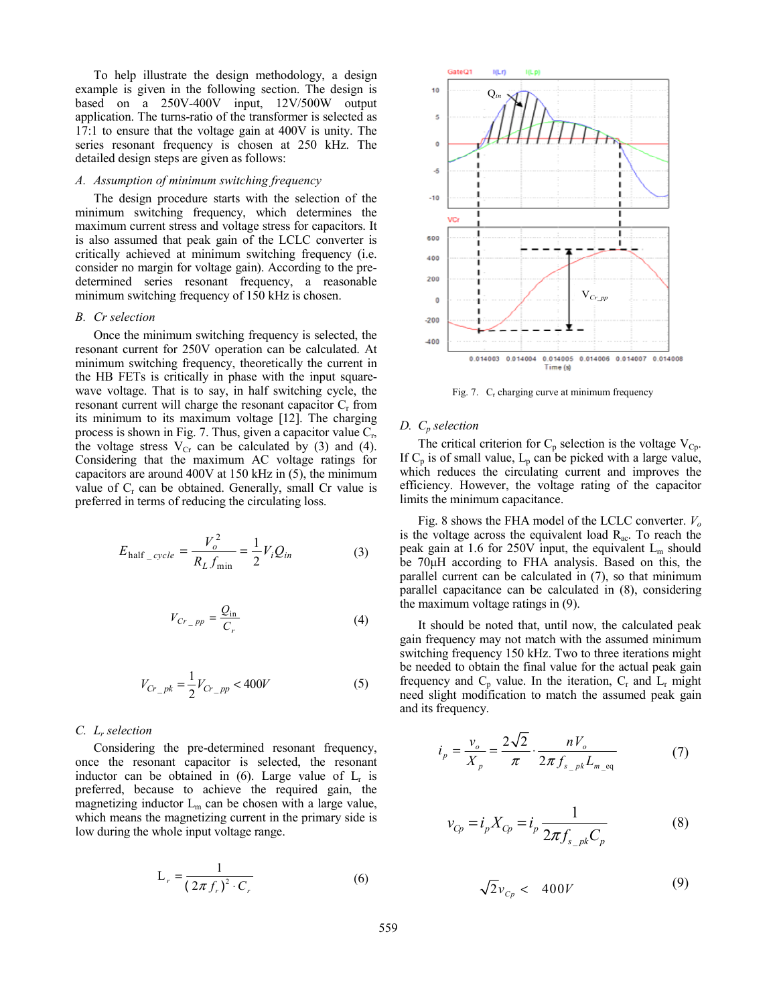To help illustrate the design methodology, a design example is given in the following section. The design is based on a 250V-400V input, 12V/500W output application. The turns-ratio of the transformer is selected as 17:1 to ensure that the voltage gain at 400V is unity. The series resonant frequency is chosen at 250 kHz. The detailed design steps are given as follows:

# *A. Assumption of minimum switching frequency*

The design procedure starts with the selection of the minimum switching frequency, which determines the maximum current stress and voltage stress for capacitors. It is also assumed that peak gain of the LCLC converter is critically achieved at minimum switching frequency (i.e. consider no margin for voltage gain). According to the predetermined series resonant frequency, a reasonable minimum switching frequency of 150 kHz is chosen.

#### *B. Cr selection*

Once the minimum switching frequency is selected, the resonant current for 250V operation can be calculated. At minimum switching frequency, theoretically the current in the HB FETs is critically in phase with the input squarewave voltage. That is to say, in half switching cycle, the resonant current will charge the resonant capacitor  $C_r$  from its minimum to its maximum voltage [12]. The charging process is shown in Fig. 7. Thus, given a capacitor value  $C_r$ , the voltage stress  $V_{Cr}$  can be calculated by (3) and (4). Considering that the maximum AC voltage ratings for capacitors are around 400V at 150 kHz in (5), the minimum value of  $C_r$  can be obtained. Generally, small Cr value is preferred in terms of reducing the circulating loss.

$$
E_{\text{half\_cycle}} = \frac{V_o^2}{R_L f_{\text{min}}} = \frac{1}{2} V_i Q_{in}
$$
 (3)

$$
V_{Cr\_pp} = \frac{Q_{\text{in}}}{C_r} \tag{4}
$$

$$
V_{Cr\_pk} = \frac{1}{2} V_{Cr\_pp} < 400V \tag{5}
$$

# *C. Lr selection*

Considering the pre-determined resonant frequency, once the resonant capacitor is selected, the resonant inductor can be obtained in (6). Large value of  $L<sub>r</sub>$  is preferred, because to achieve the required gain, the magnetizing inductor  $L_m$  can be chosen with a large value, which means the magnetizing current in the primary side is low during the whole input voltage range.

$$
L_r = \frac{1}{(2\pi f_r)^2 \cdot C_r}
$$
 (6)



Fig. 7. C<sub>r</sub> charging curve at minimum frequency

# *D. Cp selection*

The critical criterion for  $C_p$  selection is the voltage  $V_{C_p}$ . If  $C_p$  is of small value,  $L_p$  can be picked with a large value, which reduces the circulating current and improves the efficiency. However, the voltage rating of the capacitor limits the minimum capacitance.

Fig. 8 shows the FHA model of the LCLC converter. *Vo* is the voltage across the equivalent load  $R_{ac}$ . To reach the peak gain at 1.6 for 250V input, the equivalent  $L_m$  should be 70µH according to FHA analysis. Based on this, the parallel current can be calculated in (7), so that minimum parallel capacitance can be calculated in (8), considering the maximum voltage ratings in (9).

It should be noted that, until now, the calculated peak gain frequency may not match with the assumed minimum switching frequency 150 kHz. Two to three iterations might be needed to obtain the final value for the actual peak gain frequency and  $C_p$  value. In the iteration,  $C_r$  and  $L_r$  might need slight modification to match the assumed peak gain and its frequency.

$$
i_p = \frac{v_o}{X_p} = \frac{2\sqrt{2}}{\pi} \cdot \frac{nV_o}{2\pi f_{s_p} k L_{m_{eq}}}
$$
(7)

$$
v_{Cp} = i_p X_{Cp} = i_p \frac{1}{2\pi f_{s\_pk} C_p}
$$
 (8)

$$
\sqrt{2}v_{c_p} < 400V \tag{9}
$$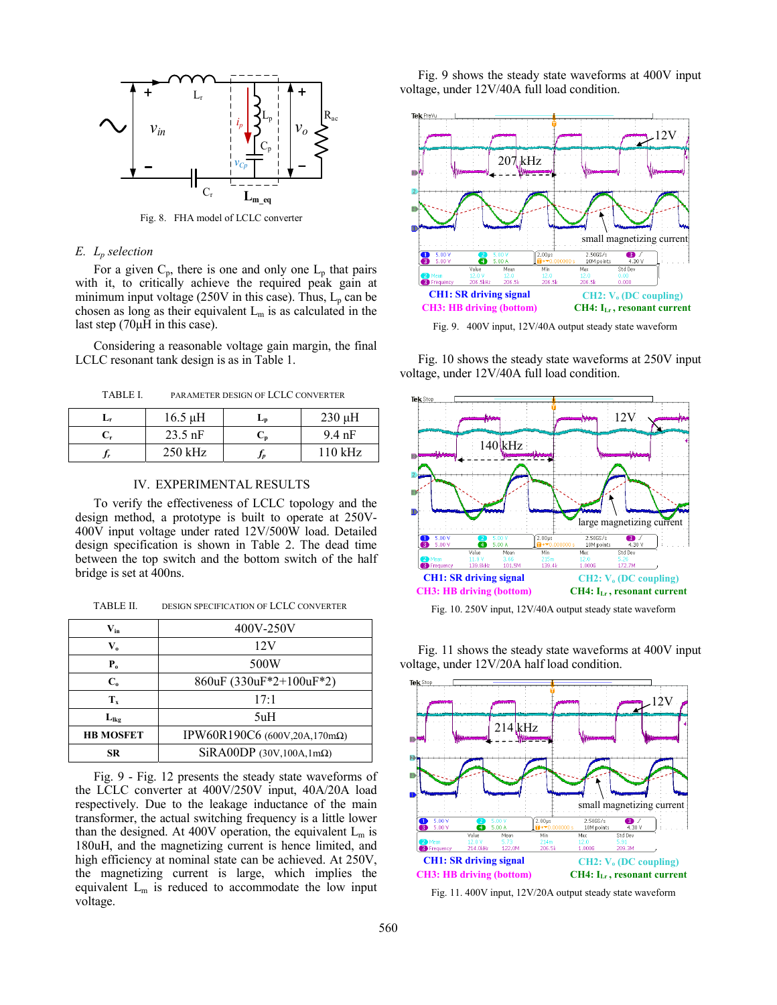

Fig. 8. FHA model of LCLC converter

# *E. Lp selection*

For a given  $C_p$ , there is one and only one  $L_p$  that pairs with it, to critically achieve the required peak gain at minimum input voltage (250V in this case). Thus,  $L_p$  can be chosen as long as their equivalent  $L_m$  is as calculated in the last step  $(70\mu H)$  in this case).

Considering a reasonable voltage gain margin, the final LCLC resonant tank design is as in Table 1.

TABLE I. PARAMETER DESIGN OF LCLC CONVERTER

| Lr | $16.5 \mu H$ | Ln | $230 \mu H$ |
|----|--------------|----|-------------|
|    | $23.5$ nF    | ◡╖ | $9.4$ nF    |
|    | $250$ kHz    |    | $110$ kHz   |

# IV. EXPERIMENTAL RESULTS

To verify the effectiveness of LCLC topology and the design method, a prototype is built to operate at 250V-400V input voltage under rated 12V/500W load. Detailed design specification is shown in Table 2. The dead time between the top switch and the bottom switch of the half bridge is set at 400ns.

TABLE II. DESIGN SPECIFICATION OF LCLC CONVERTER<br>Fig. 10. 250V input, 12V/40A output steady state waveform

| $\mathbf{V}_{\text{in}}$ | 400V-250V                        |  |
|--------------------------|----------------------------------|--|
| $V_{o}$                  | 12V                              |  |
| ${\bf P}_{\bf o}$        | 500W                             |  |
| $C_{0}$                  | 860uF (330uF*2+100uF*2)          |  |
| $T_{x}$                  | 17:1                             |  |
| $L_{\text{lkg}}$         | 5uH                              |  |
| <b>HB MOSFET</b>         | IPW60R190C6 (600V,20A,170mΩ)     |  |
| <b>SR</b>                | SiRA00DP (30V,100A,1m $\Omega$ ) |  |

Fig. 9 - Fig. 12 presents the steady state waveforms of the LCLC converter at 400V/250V input, 40A/20A load respectively. Due to the leakage inductance of the main transformer, the actual switching frequency is a little lower than the designed. At 400V operation, the equivalent  $L_m$  is 180uH, and the magnetizing current is hence limited, and high efficiency at nominal state can be achieved. At 250V, the magnetizing current is large, which implies the equivalent  $L_m$  is reduced to accommodate the low input voltage.

Fig. 9 shows the steady state waveforms at 400V input voltage, under 12V/40A full load condition.



Fig. 9. 400V input, 12V/40A output steady state waveform

Fig. 10 shows the steady state waveforms at 250V input voltage, under 12V/40A full load condition.



Fig. 11 shows the steady state waveforms at 400V input voltage, under 12V/20A half load condition.



Fig. 11. 400V input, 12V/20A output steady state waveform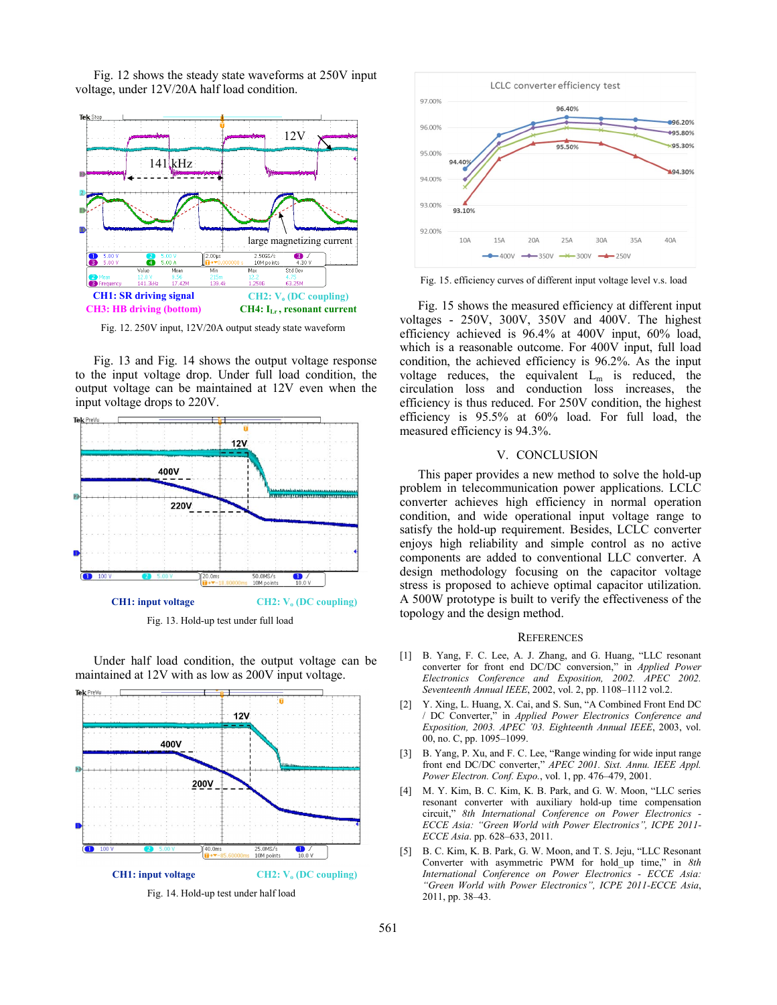

Fig. 12 shows the steady state waveforms at 250V input voltage, under 12V/20A half load condition.

Fig. 12. 250V input, 12V/20A output steady state waveform

Fig. 13 and Fig. 14 shows the output voltage response to the input voltage drop. Under full load condition, the output voltage can be maintained at 12V even when the input voltage drops to 220V.



Fig. 13. Hold-up test under full lo ad

Under half load condition, the outp ut voltage can be maintained at 12V with as low as 200V input voltage.





Fig. 15. efficiency curves of different input voltage level v.s. load

Fig. 15 shows the measured d efficiency at different input voltages - 250V, 300V, 350 V and 400V. The highest efficiency achieved is 96.4% at 400V input, 60% load, which is a reasonable outcome. For 400V input, full load condition, the achieved efficiency is 96.2%. As the input voltage reduces, the equivalent  $L_m$  is reduced, the circulation loss and conduction loss increases, the efficiency is thus reduced. For 250V condition, the highest efficiency is 95.5% at 60% % load. For full load, the measured efficiency is 94.3%.

#### V. CONCL LUSION

This paper provides a new method to solve the hold-up problem in telecommunication power applications. LCLC converter achieves high efficiency in normal operation condition, and wide operational input voltage range to satisfy the hold-up requirement. Besides, LCLC converter enjoys high reliability and simple control as no active components are added to conventional LLC converter. A design methodology focusing on the capacitor voltage stress is proposed to achieve optimal capacitor utilization. A 500W prototype is built to verify the effectiveness of the topology and the design method d.

#### **REFERENCES**

- [1] B. Yang, F. C. Lee, A. J. Zhang, and G. Huang, "LLC resonant converter for front end DC/DC C conversion," in *Applied Power Electronics Conference and Exposition, 2002. APEC 2002. Seventeenth Annual IEEE*, 2002, vol. 2, pp. 1108–1112 vol.2.
- [2] Y. Xing, L. Huang, X. Cai, and S. Sun, "A Combined Front End DC / DC Converter," in *Applied P Exposition, 2003. APEC '03. Ei* 00, no. C, pp. 1095–1099. *Power Electronics Conference and ighteenth Annual IEEE*, 2003, vol.
- [3] B. Yang, P. Xu, and F. C. Lee, "Range winding for wide input range front end DC/DC converter," APEC 2001. Sixt. Annu. IEEE Appl. *Power Electron. Conf. Expo.*, vol l. 1, pp. 476–479, 2001.
- [4] M. Y. Kim, B. C. Kim, K. B. Park, and G. W. Moon, "LLC series resonant converter with auxil liary hold-up time compensation circuit," 8th International Conference on Power Electronics -*ECCE Asia: "Green World with h Power Electronics", ICPE 2011- ECCE Asia*. pp. 628–633, 2011.
- [5] B. C. Kim, K. B. Park, G. W. Moon, and T. S. Jeju, "LLC Resonant Converter with asymmetric PWM for hold\_up time," in *8th International Conference on P Power Electronics - ECCE Asia:*  "Green World with Power Electronics", ICPE 2011-ECCE Asia, 2011, pp. 38–43.